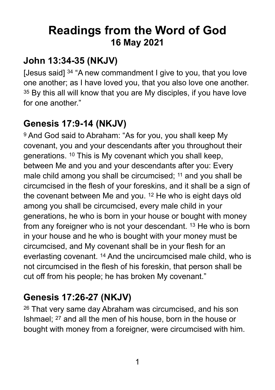# **Readings from the Word of God 16 May 2021**

### **John 13:34-35 (NKJV)**

[Jesus said] <sup>34</sup> "A new commandment I give to you, that you love one another; as I have loved you, that you also love one another. <sup>35</sup> By this all will know that you are My disciples, if you have love for one another."

### **Genesis 17:9-14 (NKJV)**

9 And God said to Abraham: "As for you, you shall keep My covenant, you and your descendants after you throughout their generations. 10 This is My covenant which you shall keep, between Me and you and your descendants after you: Every male child among you shall be circumcised; <sup>11</sup> and you shall be circumcised in the flesh of your foreskins, and it shall be a sign of the covenant between Me and you. 12 He who is eight days old among you shall be circumcised, every male child in your generations, he who is born in your house or bought with money from any foreigner who is not your descendant. 13 He who is born in your house and he who is bought with your money must be circumcised, and My covenant shall be in your flesh for an everlasting covenant. 14 And the uncircumcised male child, who is not circumcised in the flesh of his foreskin, that person shall be cut off from his people; he has broken My covenant."

### **Genesis 17:26-27 (NKJV)**

26 That very same day Abraham was circumcised, and his son Ishmael; 27 and all the men of his house, born in the house or bought with money from a foreigner, were circumcised with him.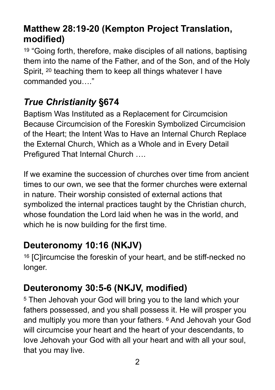#### **Matthew 28:19-20 (Kempton Project Translation, modified)**

<sup>19</sup> "Going forth, therefore, make disciples of all nations, baptising them into the name of the Father, and of the Son, and of the Holy Spirit, 20 teaching them to keep all things whatever I have commanded you…."

### *True Christianity* **§674**

Baptism Was Instituted as a Replacement for Circumcision Because Circumcision of the Foreskin Symbolized Circumcision of the Heart; the Intent Was to Have an Internal Church Replace the External Church, Which as a Whole and in Every Detail Prefigured That Internal Church ….

If we examine the succession of churches over time from ancient times to our own, we see that the former churches were external in nature. Their worship consisted of external actions that symbolized the internal practices taught by the Christian church, whose foundation the Lord laid when he was in the world, and which he is now building for the first time.

#### **Deuteronomy 10:16 (NKJV)**

16 [C]ircumcise the foreskin of your heart, and be stiff-necked no longer.

### **Deuteronomy 30:5-6 (NKJV, modified)**

5 Then Jehovah your God will bring you to the land which your fathers possessed, and you shall possess it. He will prosper you and multiply you more than your fathers. 6 And Jehovah your God will circumcise your heart and the heart of your descendants, to love Jehovah your God with all your heart and with all your soul, that you may live.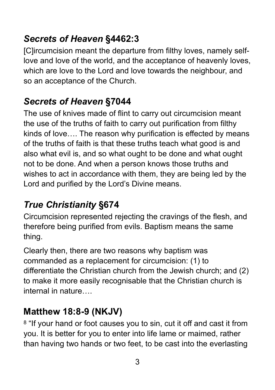### *Secrets of Heaven* **§4462:3**

[C]ircumcision meant the departure from filthy loves, namely selflove and love of the world, and the acceptance of heavenly loves, which are love to the Lord and love towards the neighbour, and so an acceptance of the Church.

### *Secrets of Heaven* **§7044**

The use of knives made of flint to carry out circumcision meant the use of the truths of faith to carry out purification from filthy kinds of love…. The reason why purification is effected by means of the truths of faith is that these truths teach what good is and also what evil is, and so what ought to be done and what ought not to be done. And when a person knows those truths and wishes to act in accordance with them, they are being led by the Lord and purified by the Lord's Divine means.

# *True Christianity* **§674**

Circumcision represented rejecting the cravings of the flesh, and therefore being purified from evils. Baptism means the same thing.

Clearly then, there are two reasons why baptism was commanded as a replacement for circumcision: (1) to differentiate the Christian church from the Jewish church; and (2) to make it more easily recognisable that the Christian church is internal in nature….

### **Matthew 18:8-9 (NKJV)**

<sup>8</sup> "If your hand or foot causes you to sin, cut it off and cast it from you. It is better for you to enter into life lame or maimed, rather than having two hands or two feet, to be cast into the everlasting